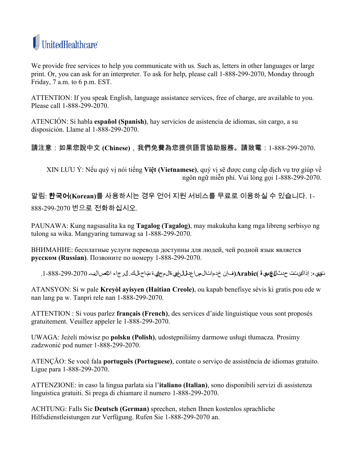

 Friday, 7 a.m. to 6 p.m. EST.We provide free services to help you communicate with us. Such as, letters in other languages or large print. Or, you can ask for an interpreter. To ask for help, please call 1-888-299-2070, Monday through

ATTENTION: If you speak English, language assistance services, free of charge, are available to you. Please call 1-888-299-2070.

ATENCIÓN: Si habla **español (Spanish)**, hay servicios de asistencia de idiomas, sin cargo, a su disposición. Llame al 1-888-299-2070.

## 請注意:如果您說中文 **(Chinese)**,我們免費為您提供語言協助服務。請致電:1-888-299-2070.

XIN LƯU Ý: Nếu quý vị nói tiếng **Việt (Vietnamese)**, quý vị sẽ được cung cấp dịch vụ trợ giúp về ngôn ngữ miễn phí. Vui lòng gọi 1-888-299-2070.

알림: 한국어**(Korean)**를 사용하시는 경우 언어 지원 서비스를 무료로 이용하실 수 있습니다. 1- 888-299-2070 번으로 전화하십시오.

PAUNAWA: Kung nagsasalita ka ng **Tagalog (Tagalog)**, may makukuha kang mga libreng serbisyo ng tulong sa wika. Mangyaring tumawag sa 1-888-299-2070.

ВНИМАНИЕ: бесплатные услуги перевода доступны для людей, чей родной язык является **русском (Russian)**. Позвоните по номеру 1-888-299-2070.

تنبيه: إذاكنتت حدث **العربية )Arabic)**،فإن خدماتالمساعدة اللغويةالمجانية متاحةلك. الرجاء ا⸮تصالبـ .1-888-299-2070

ATANSYON: Si w pale **Kreyòl ayisyen (Haitian Creole)**, ou kapab benefisye sèvis ki gratis pou ede w nan lang pa w. Tanpri rele nan 1-888-299-2070.

ATTENTION : Si vous parlez **français (French)**, des services d'aide linguistique vous sont proposés gratuitement. Veuillez appeler le 1-888-299-2070.

UWAGA: Jeżeli mówisz po **polsku (Polish)**, udostępniliśmy darmowe usługi tłumacza. Prosimy zadzwonić pod numer 1-888-299-2070.

ATENÇÃO: Se você fala **português (Portuguese)**, contate o serviço de assistência de idiomas gratuito. Ligue para 1-888-299-2070.

ATTENZIONE: in caso la lingua parlata sia l'**italiano (Italian)**, sono disponibili servizi di assistenza linguistica gratuiti. Si prega di chiamare il numero 1-888-299-2070.

ACHTUNG: Falls Sie **Deutsch (German)** sprechen, stehen Ihnen kostenlos sprachliche Hilfsdienstleistungen zur Verfügung. Rufen Sie 1-888-299-2070 an.